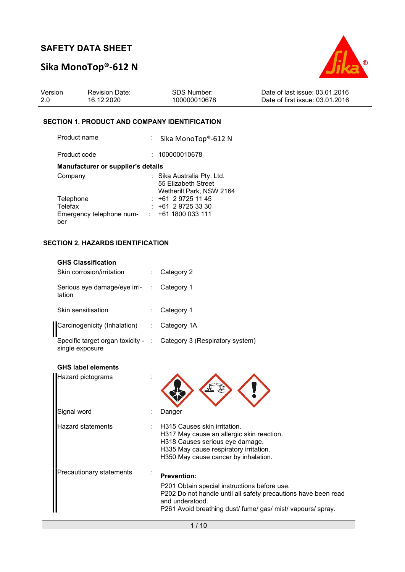# Sika MonoTop®-612 N



| Version | <b>Revision Date:</b> | SDS Number:  | Date of last issue: 03.01.2016  |
|---------|-----------------------|--------------|---------------------------------|
| -2.0    | 16.12.2020            | 100000010678 | Date of first issue: 03.01.2016 |

### SECTION 1. PRODUCT AND COMPANY IDENTIFICATION

| Product name                       | : Sika MonoTop®-612 N                                                         |
|------------------------------------|-------------------------------------------------------------------------------|
| Product code                       | : 100000010678                                                                |
| Manufacturer or supplier's details |                                                                               |
| Company                            | : Sika Australia Pty. Ltd.<br>55 Elizabeth Street<br>Wetherill Park, NSW 2164 |
| Telephone                          | $: +61297251145$                                                              |
| Telefax                            | $+61$ 2 9725 33 30                                                            |
| Emergency telephone num-<br>ber    | $: +611800033111$                                                             |

## SECTION 2. HAZARDS IDENTIFICATION

| <b>GHS Classification</b><br>Skin corrosion/irritation | Category 2                                                                                                                                                                                                             |
|--------------------------------------------------------|------------------------------------------------------------------------------------------------------------------------------------------------------------------------------------------------------------------------|
| Serious eye damage/eye irri-<br>tation                 | Category 1                                                                                                                                                                                                             |
| Skin sensitisation                                     | Category 1                                                                                                                                                                                                             |
| Carcinogenicity (Inhalation)                           | Category 1A                                                                                                                                                                                                            |
| Specific target organ toxicity -<br>single exposure    | Category 3 (Respiratory system)                                                                                                                                                                                        |
| <b>GHS label elements</b>                              |                                                                                                                                                                                                                        |
| Hazard pictograms                                      |                                                                                                                                                                                                                        |
| Signal word                                            | Danger                                                                                                                                                                                                                 |
| Hazard statements                                      | H315 Causes skin irritation.<br>H317 May cause an allergic skin reaction.<br>H318 Causes serious eye damage.<br>H335 May cause respiratory irritation.<br>H350 May cause cancer by inhalation.                         |
| Precautionary statements                               | <b>Prevention:</b><br>P201 Obtain special instructions before use.<br>P202 Do not handle until all safety precautions have been read<br>and understood.<br>P261 Avoid breathing dust/ fume/ gas/ mist/ vapours/ spray. |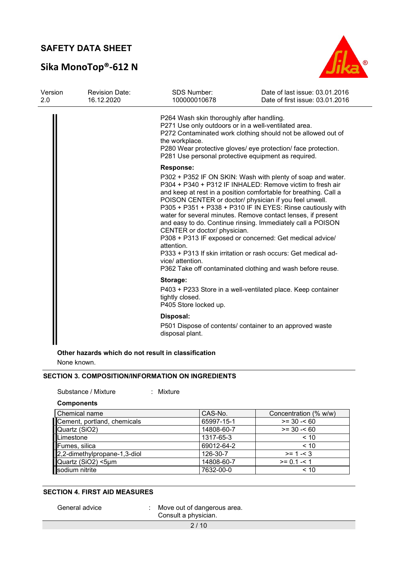# Sika MonoTop®-612 N



| Version<br>2.0 | <b>Revision Date:</b><br>16.12.2020 | <b>SDS Number:</b><br>100000010678                                                                                                                                         | Date of last issue: 03.01.2016<br>Date of first issue: 03.01.2016                                                                                                                                                                                                                                                                                                                                                                                                                                                                                                                                                                                |
|----------------|-------------------------------------|----------------------------------------------------------------------------------------------------------------------------------------------------------------------------|--------------------------------------------------------------------------------------------------------------------------------------------------------------------------------------------------------------------------------------------------------------------------------------------------------------------------------------------------------------------------------------------------------------------------------------------------------------------------------------------------------------------------------------------------------------------------------------------------------------------------------------------------|
|                |                                     | P264 Wash skin thoroughly after handling.<br>P271 Use only outdoors or in a well-ventilated area.<br>the workplace.<br>P281 Use personal protective equipment as required. | P272 Contaminated work clothing should not be allowed out of<br>P280 Wear protective gloves/ eye protection/ face protection.                                                                                                                                                                                                                                                                                                                                                                                                                                                                                                                    |
|                |                                     | <b>Response:</b><br>CENTER or doctor/ physician.<br>attention.<br>vice/ attention.                                                                                         | P302 + P352 IF ON SKIN: Wash with plenty of soap and water.<br>P304 + P340 + P312 IF INHALED: Remove victim to fresh air<br>and keep at rest in a position comfortable for breathing. Call a<br>POISON CENTER or doctor/ physician if you feel unwell.<br>P305 + P351 + P338 + P310 IF IN EYES: Rinse cautiously with<br>water for several minutes. Remove contact lenses, if present<br>and easy to do. Continue rinsing. Immediately call a POISON<br>P308 + P313 IF exposed or concerned: Get medical advice/<br>P333 + P313 If skin irritation or rash occurs: Get medical ad-<br>P362 Take off contaminated clothing and wash before reuse. |
|                |                                     | Storage:<br>tightly closed.<br>P405 Store locked up.                                                                                                                       | P403 + P233 Store in a well-ventilated place. Keep container                                                                                                                                                                                                                                                                                                                                                                                                                                                                                                                                                                                     |
|                |                                     | Disposal:<br>disposal plant.                                                                                                                                               | P501 Dispose of contents/ container to an approved waste                                                                                                                                                                                                                                                                                                                                                                                                                                                                                                                                                                                         |

#### Other hazards which do not result in classification

None known.

## SECTION 3. COMPOSITION/INFORMATION ON INGREDIENTS

Substance / Mixture : Mixture

**Components** 

| Chemical name                | CAS-No.    | Concentration (% w/w) |
|------------------------------|------------|-----------------------|
| Cement, portland, chemicals  | 65997-15-1 | $>= 30 - 60$          |
| Quartz (SiO2)                | 14808-60-7 | $>= 30 - 60$          |
| Limestone                    | 1317-65-3  | < 10                  |
| Fumes, silica                | 69012-64-2 | < 10                  |
| 2,2-dimethylpropane-1,3-diol | 126-30-7   | $>= 1 - 3$            |
|                              | 14808-60-7 | $>= 0.1 - 1$          |
| Quartz (SiO2) <5µm           | 7632-00-0  | < 10                  |

#### SECTION 4. FIRST AID MEASURES

General advice : Move out of dangerous area. Consult a physician.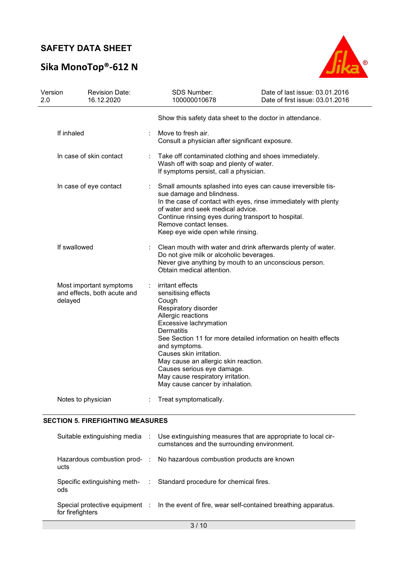# Sika MonoTop®-612 N



| Version<br>2.0          |                        | <b>Revision Date:</b><br>16.12.2020                    |                                                                                                                                                                                                 | SDS Number:<br>100000010678                                                                                                                                                                                                                                                                                                                                                                               | Date of last issue: 03.01.2016<br>Date of first issue: 03.01.2016 |  |
|-------------------------|------------------------|--------------------------------------------------------|-------------------------------------------------------------------------------------------------------------------------------------------------------------------------------------------------|-----------------------------------------------------------------------------------------------------------------------------------------------------------------------------------------------------------------------------------------------------------------------------------------------------------------------------------------------------------------------------------------------------------|-------------------------------------------------------------------|--|
|                         |                        |                                                        |                                                                                                                                                                                                 | Show this safety data sheet to the doctor in attendance.                                                                                                                                                                                                                                                                                                                                                  |                                                                   |  |
|                         | If inhaled             |                                                        |                                                                                                                                                                                                 | Move to fresh air.<br>Consult a physician after significant exposure.                                                                                                                                                                                                                                                                                                                                     |                                                                   |  |
| In case of skin contact |                        |                                                        | Take off contaminated clothing and shoes immediately.<br>Wash off with soap and plenty of water.<br>If symptoms persist, call a physician.                                                      |                                                                                                                                                                                                                                                                                                                                                                                                           |                                                                   |  |
|                         | In case of eye contact |                                                        |                                                                                                                                                                                                 | Small amounts splashed into eyes can cause irreversible tis-<br>sue damage and blindness.<br>In the case of contact with eyes, rinse immediately with plenty<br>of water and seek medical advice.<br>Continue rinsing eyes during transport to hospital.<br>Remove contact lenses.<br>Keep eye wide open while rinsing.                                                                                   |                                                                   |  |
| If swallowed            |                        |                                                        | Clean mouth with water and drink afterwards plenty of water.<br>Do not give milk or alcoholic beverages.<br>Never give anything by mouth to an unconscious person.<br>Obtain medical attention. |                                                                                                                                                                                                                                                                                                                                                                                                           |                                                                   |  |
|                         | delayed                | Most important symptoms<br>and effects, both acute and | ÷                                                                                                                                                                                               | irritant effects<br>sensitising effects<br>Cough<br>Respiratory disorder<br>Allergic reactions<br>Excessive lachrymation<br><b>Dermatitis</b><br>See Section 11 for more detailed information on health effects<br>and symptoms.<br>Causes skin irritation.<br>May cause an allergic skin reaction.<br>Causes serious eye damage.<br>May cause respiratory irritation.<br>May cause cancer by inhalation. |                                                                   |  |
|                         | Notes to physician     |                                                        |                                                                                                                                                                                                 | Treat symptomatically.                                                                                                                                                                                                                                                                                                                                                                                    |                                                                   |  |

## SECTION 5. FIREFIGHTING MEASURES

|                                     | Suitable extinguishing media : Use extinguishing measures that are appropriate to local cir-<br>cumstances and the surrounding environment. |
|-------------------------------------|---------------------------------------------------------------------------------------------------------------------------------------------|
| ucts                                | Hazardous combustion prod- : No hazardous combustion products are known                                                                     |
| Specific extinguishing meth-<br>ods | : Standard procedure for chemical fires.                                                                                                    |
| for firefighters                    | Special protective equipment : In the event of fire, wear self-contained breathing apparatus.                                               |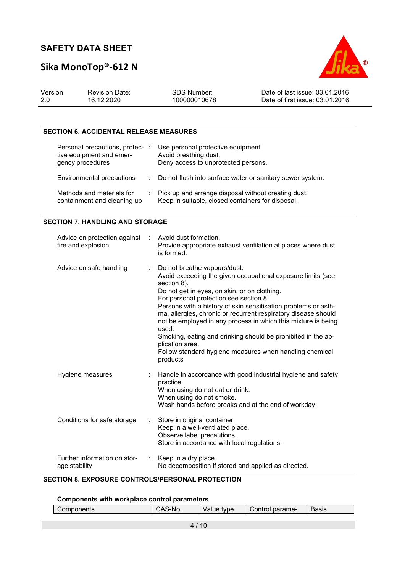# Sika MonoTop®-612 N



| Version | <b>Revision Date:</b> | SDS Number:  | Date of last issue: 03.01.2016  |
|---------|-----------------------|--------------|---------------------------------|
| 2.0     | 16.12.2020            | 100000010678 | Date of first issue: 03.01.2016 |

### SECTION 6. ACCIDENTAL RELEASE MEASURES

| Personal precautions, protec- :<br>tive equipment and emer-<br>gency procedures | Use personal protective equipment.<br>Avoid breathing dust.<br>Deny access to unprotected persons.         |
|---------------------------------------------------------------------------------|------------------------------------------------------------------------------------------------------------|
| Environmental precautions                                                       | : Do not flush into surface water or sanitary sewer system.                                                |
| Methods and materials for<br>containment and cleaning up                        | : Pick up and arrange disposal without creating dust.<br>Keep in suitable, closed containers for disposal. |

#### SECTION 7. HANDLING AND STORAGE

| Advice on protection against : Avoid dust formation.<br>fire and explosion | Provide appropriate exhaust ventilation at places where dust<br>is formed.                                                                                                                                                                                                                                                                                                                                                                                                                                                                                                   |
|----------------------------------------------------------------------------|------------------------------------------------------------------------------------------------------------------------------------------------------------------------------------------------------------------------------------------------------------------------------------------------------------------------------------------------------------------------------------------------------------------------------------------------------------------------------------------------------------------------------------------------------------------------------|
| Advice on safe handling                                                    | Do not breathe vapours/dust.<br>Avoid exceeding the given occupational exposure limits (see<br>section 8).<br>Do not get in eyes, on skin, or on clothing.<br>For personal protection see section 8.<br>Persons with a history of skin sensitisation problems or asth-<br>ma, allergies, chronic or recurrent respiratory disease should<br>not be employed in any process in which this mixture is being<br>used.<br>Smoking, eating and drinking should be prohibited in the ap-<br>plication area.<br>Follow standard hygiene measures when handling chemical<br>products |
| Hygiene measures                                                           | Handle in accordance with good industrial hygiene and safety<br>practice.<br>When using do not eat or drink.<br>When using do not smoke.<br>Wash hands before breaks and at the end of workday.                                                                                                                                                                                                                                                                                                                                                                              |
| Conditions for safe storage                                                | Store in original container.<br>Keep in a well-ventilated place.<br>Observe label precautions.<br>Store in accordance with local regulations.                                                                                                                                                                                                                                                                                                                                                                                                                                |
| Further information on stor-<br>age stability                              | Keep in a dry place.<br>No decomposition if stored and applied as directed.                                                                                                                                                                                                                                                                                                                                                                                                                                                                                                  |

## SECTION 8. EXPOSURE CONTROLS/PERSONAL PROTECTION

### Components with workplace control parameters

|  | Components | CAS-No. | Value type | Control parame- | <b>Basis</b> |
|--|------------|---------|------------|-----------------|--------------|
|  |            |         |            |                 |              |
|  |            |         |            |                 |              |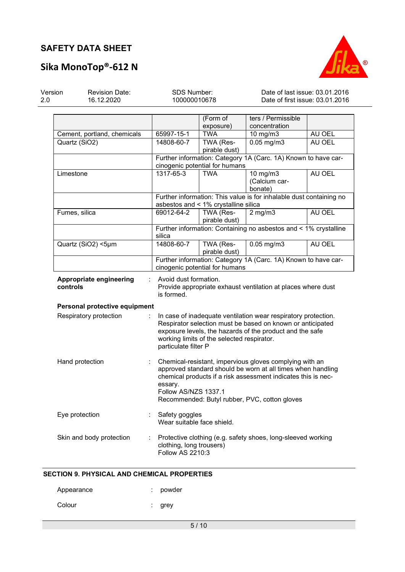

# Sika MonoTop®-612 N

| Version<br>2.0                                                                                                                           | <b>Revision Date:</b><br>16.12.2020 | SDS Number:<br>100000010678                                                                                                                                                                                                                                                 |                                                                                                  |                                                                     |        | Date of last issue: 03.01.2016<br>Date of first issue: 03.01.2016 |  |
|------------------------------------------------------------------------------------------------------------------------------------------|-------------------------------------|-----------------------------------------------------------------------------------------------------------------------------------------------------------------------------------------------------------------------------------------------------------------------------|--------------------------------------------------------------------------------------------------|---------------------------------------------------------------------|--------|-------------------------------------------------------------------|--|
|                                                                                                                                          |                                     |                                                                                                                                                                                                                                                                             | (Form of<br>exposure)                                                                            | ters / Permissible<br>concentration                                 |        |                                                                   |  |
|                                                                                                                                          | Cement, portland, chemicals         | 65997-15-1                                                                                                                                                                                                                                                                  | <b>TWA</b>                                                                                       | 10 mg/m3                                                            | AU OEL |                                                                   |  |
|                                                                                                                                          | Quartz (SiO2)                       | 14808-60-7                                                                                                                                                                                                                                                                  | TWA (Res-<br>pirable dust)                                                                       | $0.05$ mg/m $3$                                                     | AU OEL |                                                                   |  |
|                                                                                                                                          |                                     |                                                                                                                                                                                                                                                                             | cinogenic potential for humans                                                                   | Further information: Category 1A (Carc. 1A) Known to have car-      |        |                                                                   |  |
|                                                                                                                                          | Limestone                           | 1317-65-3                                                                                                                                                                                                                                                                   | <b>TWA</b>                                                                                       | 10 mg/m3<br>(Calcium car-<br>bonate)                                | AU OEL |                                                                   |  |
|                                                                                                                                          |                                     |                                                                                                                                                                                                                                                                             | asbestos and < 1% crystalline silica                                                             | Further information: This value is for inhalable dust containing no |        |                                                                   |  |
|                                                                                                                                          | Fumes, silica                       | 69012-64-2                                                                                                                                                                                                                                                                  | TWA (Res-<br>pirable dust)                                                                       | $2$ mg/m $3$                                                        | AU OEL |                                                                   |  |
|                                                                                                                                          |                                     | silica                                                                                                                                                                                                                                                                      |                                                                                                  | Further information: Containing no asbestos and < 1% crystalline    |        |                                                                   |  |
|                                                                                                                                          | Quartz (SiO2) <5µm                  | 14808-60-7                                                                                                                                                                                                                                                                  | TWA (Res-<br>pirable dust)                                                                       | $0.05$ mg/m $3$                                                     | AU OEL |                                                                   |  |
|                                                                                                                                          |                                     |                                                                                                                                                                                                                                                                             | Further information: Category 1A (Carc. 1A) Known to have car-<br>cinogenic potential for humans |                                                                     |        |                                                                   |  |
| Appropriate engineering<br>controls                                                                                                      |                                     | is formed.                                                                                                                                                                                                                                                                  | Avoid dust formation.<br>Provide appropriate exhaust ventilation at places where dust            |                                                                     |        |                                                                   |  |
|                                                                                                                                          | Personal protective equipment       |                                                                                                                                                                                                                                                                             |                                                                                                  |                                                                     |        |                                                                   |  |
|                                                                                                                                          | Respiratory protection              | In case of inadequate ventilation wear respiratory protection.<br>Respirator selection must be based on known or anticipated<br>exposure levels, the hazards of the product and the safe<br>working limits of the selected respirator.<br>particulate filter P              |                                                                                                  |                                                                     |        |                                                                   |  |
|                                                                                                                                          | Hand protection                     | Chemical-resistant, impervious gloves complying with an<br>approved standard should be worn at all times when handling<br>chemical products if a risk assessment indicates this is nec-<br>essary.<br>Follow AS/NZS 1337.1<br>Recommended: Butyl rubber, PVC, cotton gloves |                                                                                                  |                                                                     |        |                                                                   |  |
|                                                                                                                                          | Eye protection                      |                                                                                                                                                                                                                                                                             | Safety goggles<br>Wear suitable face shield.                                                     |                                                                     |        |                                                                   |  |
| Skin and body protection<br>Protective clothing (e.g. safety shoes, long-sleeved working<br>clothing, long trousers)<br>Follow AS 2210:3 |                                     |                                                                                                                                                                                                                                                                             |                                                                                                  |                                                                     |        |                                                                   |  |

## SECTION 9. PHYSICAL AND CHEMICAL PROPERTIES

| Appearance | : powder |
|------------|----------|
| Colour     | : grey   |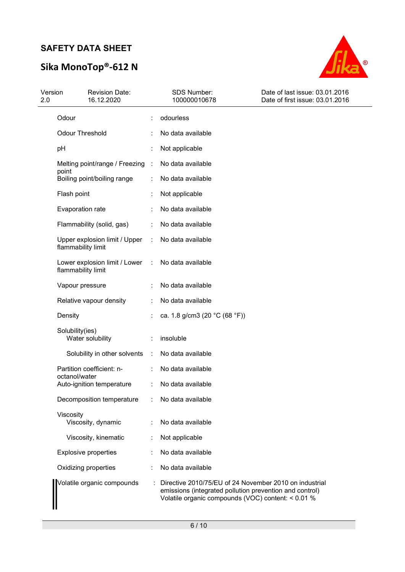# Sika MonoTop®-612 N



| Version<br>2.0 | <b>Revision Date:</b><br>16.12.2020                 |                      | SDS Number:<br>100000010678                                                                                                                                             | Date of last issue: 03.01.2016<br>Date of first issue: 03.01.2016 |
|----------------|-----------------------------------------------------|----------------------|-------------------------------------------------------------------------------------------------------------------------------------------------------------------------|-------------------------------------------------------------------|
|                | Odour                                               |                      | odourless                                                                                                                                                               |                                                                   |
|                | <b>Odour Threshold</b>                              |                      | No data available                                                                                                                                                       |                                                                   |
|                | pH                                                  |                      | Not applicable                                                                                                                                                          |                                                                   |
|                | Melting point/range / Freezing                      | $\cdot$ :            | No data available                                                                                                                                                       |                                                                   |
|                | point<br>Boiling point/boiling range                |                      | No data available                                                                                                                                                       |                                                                   |
|                | Flash point                                         |                      | Not applicable                                                                                                                                                          |                                                                   |
|                | Evaporation rate                                    |                      | No data available                                                                                                                                                       |                                                                   |
|                | Flammability (solid, gas)                           |                      | No data available                                                                                                                                                       |                                                                   |
|                | Upper explosion limit / Upper<br>flammability limit |                      | No data available                                                                                                                                                       |                                                                   |
|                | Lower explosion limit / Lower<br>flammability limit |                      | No data available                                                                                                                                                       |                                                                   |
|                | Vapour pressure                                     |                      | No data available                                                                                                                                                       |                                                                   |
|                | Relative vapour density                             |                      | No data available                                                                                                                                                       |                                                                   |
|                | Density                                             |                      | ca. 1.8 g/cm3 (20 °C (68 °F))                                                                                                                                           |                                                                   |
|                | Solubility(ies)<br>Water solubility                 |                      | insoluble                                                                                                                                                               |                                                                   |
|                | Solubility in other solvents                        | $\ddot{\phantom{a}}$ | No data available                                                                                                                                                       |                                                                   |
|                | Partition coefficient: n-<br>octanol/water          |                      | No data available                                                                                                                                                       |                                                                   |
|                | Auto-ignition temperature                           |                      | No data available                                                                                                                                                       |                                                                   |
|                | Decomposition temperature                           |                      | No data available                                                                                                                                                       |                                                                   |
|                | Viscosity<br>Viscosity, dynamic                     |                      | No data available                                                                                                                                                       |                                                                   |
|                | Viscosity, kinematic                                |                      | Not applicable                                                                                                                                                          |                                                                   |
|                | <b>Explosive properties</b>                         |                      | No data available                                                                                                                                                       |                                                                   |
|                | Oxidizing properties                                |                      | No data available                                                                                                                                                       |                                                                   |
|                | Volatile organic compounds                          |                      | Directive 2010/75/EU of 24 November 2010 on industrial<br>emissions (integrated pollution prevention and control)<br>Volatile organic compounds (VOC) content: < 0.01 % |                                                                   |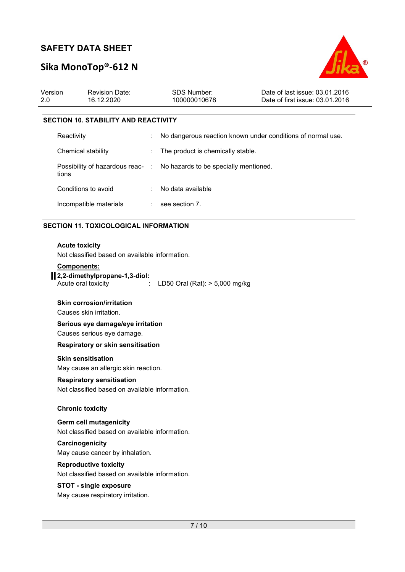# Sika MonoTop®-612 N



| Version<br>2.0 | <b>Revision Date:</b><br>16.12.2020                                             |   | <b>SDS Number:</b><br>100000010678 | Date of last issue: 03.01.2016<br>Date of first issue: 03.01.2016 |  |
|----------------|---------------------------------------------------------------------------------|---|------------------------------------|-------------------------------------------------------------------|--|
|                | <b>SECTION 10. STABILITY AND REACTIVITY</b>                                     |   |                                    |                                                                   |  |
|                | Reactivity                                                                      | ÷ |                                    | No dangerous reaction known under conditions of normal use.       |  |
|                | Chemical stability                                                              |   | The product is chemically stable.  |                                                                   |  |
|                | Possibility of hazardous reac- : No hazards to be specially mentioned.<br>tions |   |                                    |                                                                   |  |
|                | Conditions to avoid                                                             |   | No data available                  |                                                                   |  |
|                | Incompatible materials                                                          |   | $\therefore$ see section 7.        |                                                                   |  |
|                |                                                                                 |   |                                    |                                                                   |  |

#### SECTION 11. TOXICOLOGICAL INFORMATION

#### Acute toxicity

Not classified based on available information.

#### Components:

## 2,2-dimethylpropane-1,3-diol:

Acute oral toxicity : LD50 Oral (Rat): > 5,000 mg/kg

#### Skin corrosion/irritation

Causes skin irritation.

## Serious eye damage/eye irritation

Causes serious eye damage.

#### Respiratory or skin sensitisation

#### Skin sensitisation

May cause an allergic skin reaction.

#### Respiratory sensitisation

Not classified based on available information.

#### Chronic toxicity

#### Germ cell mutagenicity

Not classified based on available information.

#### **Carcinogenicity**

May cause cancer by inhalation.

#### Reproductive toxicity

Not classified based on available information.

#### STOT - single exposure

May cause respiratory irritation.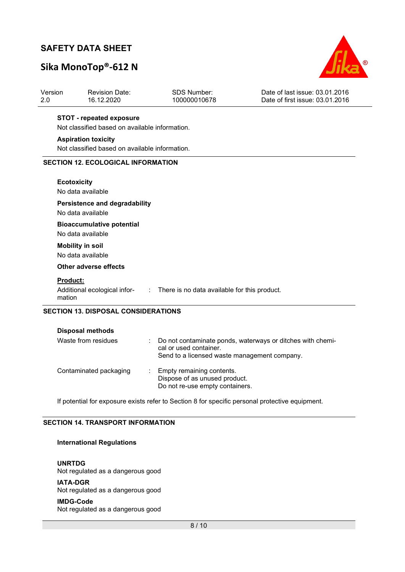# Sika MonoTop®-612 N



| Version<br>2.0  | <b>Revision Date:</b><br>16.12.2020            | <b>SDS Number:</b><br>100000010678                                          | Date of last issue: 03.01.2016<br>Date of first issue: 03.01.2016 |
|-----------------|------------------------------------------------|-----------------------------------------------------------------------------|-------------------------------------------------------------------|
|                 | <b>STOT - repeated exposure</b>                |                                                                             |                                                                   |
|                 | Not classified based on available information. |                                                                             |                                                                   |
|                 | <b>Aspiration toxicity</b>                     |                                                                             |                                                                   |
|                 | Not classified based on available information. |                                                                             |                                                                   |
|                 | <b>SECTION 12. ECOLOGICAL INFORMATION</b>      |                                                                             |                                                                   |
|                 | <b>Ecotoxicity</b>                             |                                                                             |                                                                   |
|                 | No data available                              |                                                                             |                                                                   |
|                 | <b>Persistence and degradability</b>           |                                                                             |                                                                   |
|                 | No data available                              |                                                                             |                                                                   |
|                 | <b>Bioaccumulative potential</b>               |                                                                             |                                                                   |
|                 | No data available                              |                                                                             |                                                                   |
|                 | <b>Mobility in soil</b>                        |                                                                             |                                                                   |
|                 | No data available                              |                                                                             |                                                                   |
|                 | <b>Other adverse effects</b>                   |                                                                             |                                                                   |
| <b>Product:</b> |                                                |                                                                             |                                                                   |
| mation          |                                                | Additional ecological infor- : There is no data available for this product. |                                                                   |
|                 | <b>SECTION 13. DISPOSAL CONSIDERATIONS</b>     |                                                                             |                                                                   |
|                 | <b>Disposal methods</b>                        |                                                                             |                                                                   |
|                 | Waste from residues                            |                                                                             | $\cdot$ Do not contaminate ponds waterways or ditches with chemi- |

| Waste from residues    |    | : Do not contaminate ponds, waterways or ditches with chemi-<br>cal or used container.<br>Send to a licensed waste management company. |
|------------------------|----|----------------------------------------------------------------------------------------------------------------------------------------|
| Contaminated packaging | ÷. | Empty remaining contents.<br>Dispose of as unused product.<br>Do not re-use empty containers.                                          |

If potential for exposure exists refer to Section 8 for specific personal protective equipment.

## SECTION 14. TRANSPORT INFORMATION

### International Regulations

UNRTDG Not regulated as a dangerous good

IATA-DGR Not regulated as a dangerous good

#### IMDG-Code

Not regulated as a dangerous good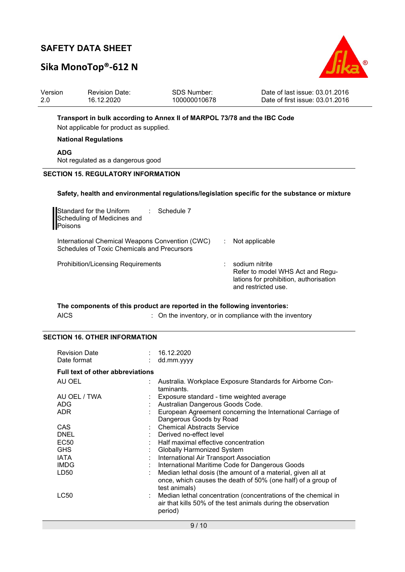# Sika MonoTop®-612 N



| Version                                                                  | Revision Date: | SDS Number:  | Date of last issue: 03.01.2016  |  |
|--------------------------------------------------------------------------|----------------|--------------|---------------------------------|--|
| 2.0                                                                      | 16.12.2020     | 100000010678 | Date of first issue: 03.01.2016 |  |
| Transport in bulk according to Annex II of MARPOL 73/78 and the IBC Code |                |              |                                 |  |

Not applicable for product as supplied.

#### National Regulations

ADG

Not regulated as a dangerous good

#### SECTION 15. REGULATORY INFORMATION

#### Safety, health and environmental regulations/legislation specific for the substance or mixture

| Standard for the Uniform<br>Schedule 7<br>$\mathbb{R}^n$<br>Scheduling of Medicines and<br>Poisons |                                                                                                                     |
|----------------------------------------------------------------------------------------------------|---------------------------------------------------------------------------------------------------------------------|
| International Chemical Weapons Convention (CWC)<br>Schedules of Toxic Chemicals and Precursors     | Not applicable                                                                                                      |
| <b>Prohibition/Licensing Requirements</b>                                                          | sodium nitrite<br>Refer to model WHS Act and Regu-<br>lations for prohibition, authorisation<br>and restricted use. |

### The components of this product are reported in the following inventories: AICS : On the inventory, or in compliance with the inventory

### SECTION 16. OTHER INFORMATION

| <b>Revision Date</b><br>Date format     | : 16.12.2020<br>dd.mm.yyyy                                                                                                                   |
|-----------------------------------------|----------------------------------------------------------------------------------------------------------------------------------------------|
| <b>Full text of other abbreviations</b> |                                                                                                                                              |
| AU OEL                                  | Australia. Workplace Exposure Standards for Airborne Con-<br>taminants.                                                                      |
| AU OEL / TWA                            | Exposure standard - time weighted average                                                                                                    |
| <b>ADG</b>                              | Australian Dangerous Goods Code.                                                                                                             |
| <b>ADR</b>                              | European Agreement concerning the International Carriage of                                                                                  |
|                                         | Dangerous Goods by Road                                                                                                                      |
| <b>CAS</b>                              | <b>Chemical Abstracts Service</b>                                                                                                            |
| <b>DNEL</b>                             | Derived no-effect level                                                                                                                      |
| <b>EC50</b>                             | Half maximal effective concentration                                                                                                         |
| <b>GHS</b>                              | <b>Globally Harmonized System</b>                                                                                                            |
| <b>IATA</b>                             | International Air Transport Association                                                                                                      |
| <b>IMDG</b>                             | International Maritime Code for Dangerous Goods                                                                                              |
| LD50                                    | Median lethal dosis (the amount of a material, given all at<br>once, which causes the death of 50% (one half) of a group of<br>test animals) |
| LC50                                    | Median lethal concentration (concentrations of the chemical in<br>air that kills 50% of the test animals during the observation<br>period)   |